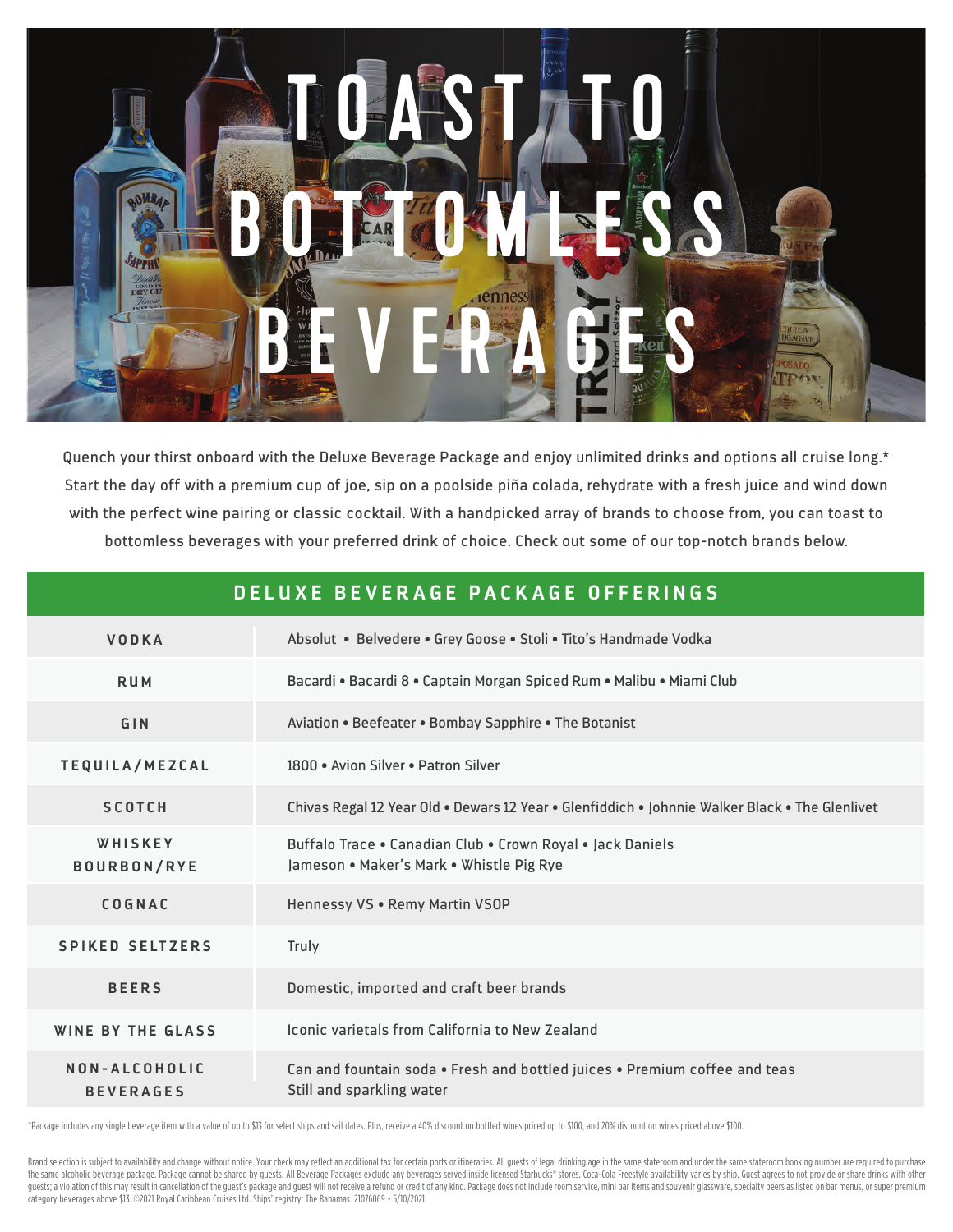

Quench your thirst onboard with the Deluxe Beverage Package and enjoy unlimited drinks and options all cruise long.\* Start the day off with a premium cup of joe, sip on a poolside piña colada, rehydrate with a fresh juice and wind down with the perfect wine pairing or classic cocktail. With a handpicked array of brands to choose from, you can toast to bottomless beverages with your preferred drink of choice. Check out some of our top-notch brands below.

| DELUXE BEVERAGE PACKAGE OFFERINGS |                                                                                                         |
|-----------------------------------|---------------------------------------------------------------------------------------------------------|
| <b>VODKA</b>                      | Absolut · Belvedere · Grey Goose · Stoli · Tito's Handmade Vodka                                        |
| <b>RUM</b>                        | Bacardi • Bacardi 8 • Captain Morgan Spiced Rum • Malibu • Miami Club                                   |
| GIN                               | Aviation . Beefeater . Bombay Sapphire . The Botanist                                                   |
| TEQUILA/MEZCAL                    | 1800 • Avion Silver • Patron Silver                                                                     |
| <b>SCOTCH</b>                     | Chivas Regal 12 Year Old . Dewars 12 Year . Glenfiddich . Johnnie Walker Black . The Glenlivet          |
| WHISKEY<br><b>BOURBON/RYE</b>     | Buffalo Trace • Canadian Club • Crown Royal • Jack Daniels<br>Jameson . Maker's Mark . Whistle Pig Rye  |
| COGNAC                            | Hennessy VS . Remy Martin VSOP                                                                          |
| <b>SPIKED SELTZERS</b>            | Truly                                                                                                   |
| <b>BEERS</b>                      | Domestic, imported and craft beer brands                                                                |
| WINE BY THE GLASS                 | <b>Iconic varietals from California to New Zealand</b>                                                  |
| NON-AICOHOLIC<br><b>BEVERAGES</b> | Can and fountain soda . Fresh and bottled juices . Premium coffee and teas<br>Still and sparkling water |

\*Package includes any single beverage item with a value of up to \$13 for select ships and sail dates. Plus, receive a 40% discount on bottled wines priced up to \$100, and 20% discount on wines priced above \$100.

Brand selection is subject to availability and change without notice. Your check may reflect an additional tax for certain ports or itineraries. All guests of legal drinking age in the same stateroom and under the same sta the same alcoholic beverage package. Package cannot be shared by guests. All Beverage Packages exclude any beverages served inside licensed Starbucks® stores. Coca-Cola Freestyle availability varies by ship. Guest agrees t guests; a violation of this may result in cancellation of the guest's package and guest will not receive a refund or credit of any kind. Package does not include room service, mini bar items and souvenir glassware, special category beverages above \$13. ©2021 Royal Caribbean Cruises Ltd. Ships' registry: The Bahamas. 21076069 • 5/10/2021